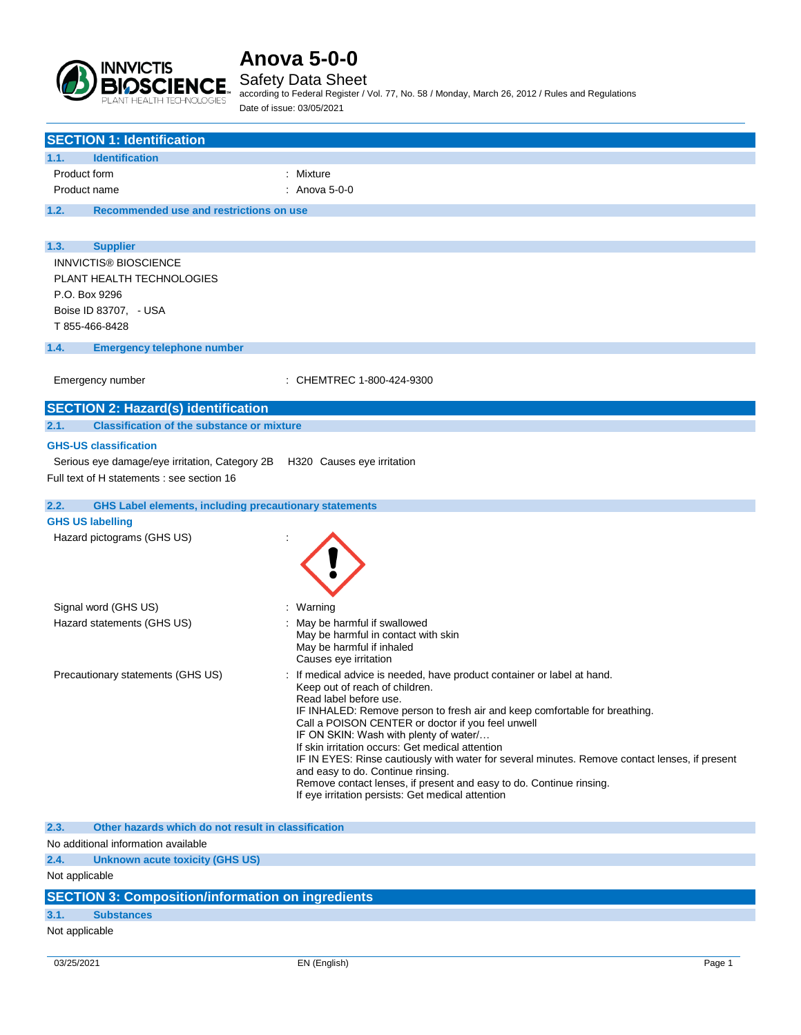

## Safety Data Sheet

according to Federal Register / Vol. 77, No. 58 / Monday, March 26, 2012 / Rules and Regulations Date of issue: 03/05/2021

| <b>SECTION 1: Identification</b>                                            |                                                                                                           |
|-----------------------------------------------------------------------------|-----------------------------------------------------------------------------------------------------------|
| <b>Identification</b><br>1.1.                                               |                                                                                                           |
| Product form                                                                | : Mixture                                                                                                 |
| Product name                                                                | : Anova $5-0-0$                                                                                           |
| 1.2.<br>Recommended use and restrictions on use                             |                                                                                                           |
|                                                                             |                                                                                                           |
|                                                                             |                                                                                                           |
| 1.3.<br><b>Supplier</b><br><b>INNVICTIS® BIOSCIENCE</b>                     |                                                                                                           |
| PLANT HEALTH TECHNOLOGIES                                                   |                                                                                                           |
| P.O. Box 9296                                                               |                                                                                                           |
| Boise ID 83707, - USA                                                       |                                                                                                           |
| T 855-466-8428                                                              |                                                                                                           |
|                                                                             |                                                                                                           |
| <b>Emergency telephone number</b><br>1.4.                                   |                                                                                                           |
| Emergency number                                                            | : CHEMTREC 1-800-424-9300                                                                                 |
|                                                                             |                                                                                                           |
| <b>SECTION 2: Hazard(s) identification</b>                                  |                                                                                                           |
| 2.1.<br><b>Classification of the substance or mixture</b>                   |                                                                                                           |
| <b>GHS-US classification</b>                                                |                                                                                                           |
| Serious eye damage/eye irritation, Category 2B  H320  Causes eye irritation |                                                                                                           |
| Full text of H statements : see section 16                                  |                                                                                                           |
|                                                                             |                                                                                                           |
| 2.2.<br><b>GHS Label elements, including precautionary statements</b>       |                                                                                                           |
| <b>GHS US labelling</b>                                                     |                                                                                                           |
| Hazard pictograms (GHS US)                                                  |                                                                                                           |
|                                                                             |                                                                                                           |
|                                                                             |                                                                                                           |
|                                                                             |                                                                                                           |
| Signal word (GHS US)                                                        | Warning                                                                                                   |
| Hazard statements (GHS US)                                                  | May be harmful if swallowed                                                                               |
|                                                                             | May be harmful in contact with skin                                                                       |
|                                                                             | May be harmful if inhaled                                                                                 |
|                                                                             | Causes eye irritation                                                                                     |
| Precautionary statements (GHS US)                                           | : If medical advice is needed, have product container or label at hand.<br>Keep out of reach of children. |
|                                                                             | Read label before use.                                                                                    |
|                                                                             | IF INHALED: Remove person to fresh air and keep comfortable for breathing.                                |
|                                                                             | Call a POISON CENTER or doctor if you feel unwell<br>IF ON SKIN: Wash with plenty of water/               |
|                                                                             | If skin irritation occurs: Get medical attention                                                          |
|                                                                             | IF IN EYES: Rinse cautiously with water for several minutes. Remove contact lenses, if present            |
|                                                                             | and easy to do. Continue rinsing.<br>Remove contact lenses, if present and easy to do. Continue rinsing.  |
|                                                                             | If eye irritation persists: Get medical attention                                                         |
|                                                                             |                                                                                                           |
| Other hazards which do not result in classification<br>2.3.                 |                                                                                                           |
| No additional information available                                         |                                                                                                           |
| 2.4.<br><b>Unknown acute toxicity (GHS US)</b>                              |                                                                                                           |
| Not applicable                                                              |                                                                                                           |
| <b>SECTION 3: Composition/information on ingredients</b>                    |                                                                                                           |
| 3.1.<br><b>Substances</b>                                                   |                                                                                                           |
| Not applicable                                                              |                                                                                                           |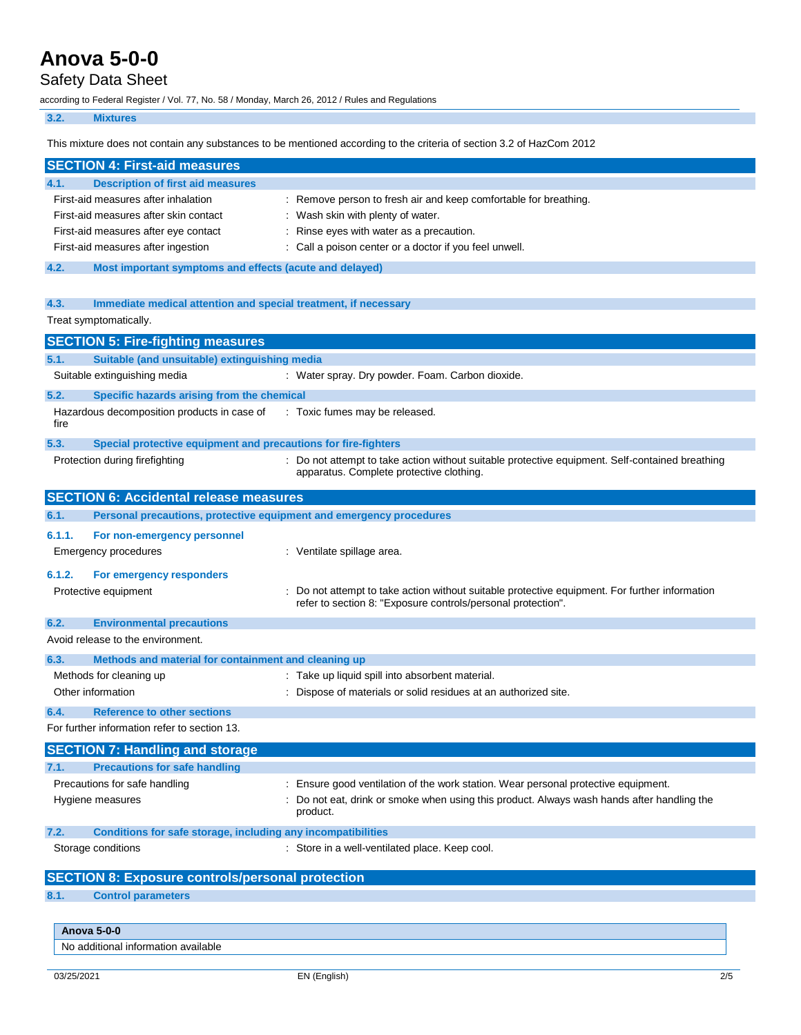# Safety Data Sheet

according to Federal Register / Vol. 77, No. 58 / Monday, March 26, 2012 / Rules and Regulations

## **3.2. Mixtures**

This mixture does not contain any substances to be mentioned according to the criteria of section 3.2 of HazCom 2012

|        | <b>SECTION 4: First-aid measures</b>                                |                                                                                                                                                              |
|--------|---------------------------------------------------------------------|--------------------------------------------------------------------------------------------------------------------------------------------------------------|
| 4.1.   | <b>Description of first aid measures</b>                            |                                                                                                                                                              |
|        | First-aid measures after inhalation                                 | : Remove person to fresh air and keep comfortable for breathing.                                                                                             |
|        | First-aid measures after skin contact                               | : Wash skin with plenty of water.                                                                                                                            |
|        | First-aid measures after eye contact                                | Rinse eyes with water as a precaution.                                                                                                                       |
|        | First-aid measures after ingestion                                  | Call a poison center or a doctor if you feel unwell.                                                                                                         |
| 4.2.   | Most important symptoms and effects (acute and delayed)             |                                                                                                                                                              |
| 4.3.   | Immediate medical attention and special treatment, if necessary     |                                                                                                                                                              |
|        | Treat symptomatically.                                              |                                                                                                                                                              |
|        | <b>SECTION 5: Fire-fighting measures</b>                            |                                                                                                                                                              |
| 5.1.   | Suitable (and unsuitable) extinguishing media                       |                                                                                                                                                              |
|        | Suitable extinguishing media                                        | : Water spray. Dry powder. Foam. Carbon dioxide.                                                                                                             |
| 5.2.   | Specific hazards arising from the chemical                          |                                                                                                                                                              |
| fire   | Hazardous decomposition products in case of                         | : Toxic fumes may be released.                                                                                                                               |
| 5.3.   | Special protective equipment and precautions for fire-fighters      |                                                                                                                                                              |
|        | Protection during firefighting                                      | : Do not attempt to take action without suitable protective equipment. Self-contained breathing<br>apparatus. Complete protective clothing.                  |
|        | <b>SECTION 6: Accidental release measures</b>                       |                                                                                                                                                              |
| 6.1.   | Personal precautions, protective equipment and emergency procedures |                                                                                                                                                              |
| 6.1.1. | For non-emergency personnel                                         |                                                                                                                                                              |
|        | Emergency procedures                                                | : Ventilate spillage area.                                                                                                                                   |
| 6.1.2. | For emergency responders                                            |                                                                                                                                                              |
|        | Protective equipment                                                | Do not attempt to take action without suitable protective equipment. For further information<br>refer to section 8: "Exposure controls/personal protection". |
| 6.2.   | <b>Environmental precautions</b>                                    |                                                                                                                                                              |
|        | Avoid release to the environment.                                   |                                                                                                                                                              |
| 6.3.   | Methods and material for containment and cleaning up                |                                                                                                                                                              |
|        | Methods for cleaning up                                             | : Take up liquid spill into absorbent material.                                                                                                              |
|        | Other information                                                   | : Dispose of materials or solid residues at an authorized site.                                                                                              |
| 6.4.   | <b>Reference to other sections</b>                                  |                                                                                                                                                              |
|        | For further information refer to section 13.                        |                                                                                                                                                              |
|        | <b>SECTION 7: Handling and storage</b>                              |                                                                                                                                                              |
| 7.1.   | <b>Precautions for safe handling</b>                                |                                                                                                                                                              |
|        | Precautions for safe handling                                       | Ensure good ventilation of the work station. Wear personal protective equipment.                                                                             |
|        | Hygiene measures                                                    | Do not eat, drink or smoke when using this product. Always wash hands after handling the<br>product.                                                         |
| 7.2.   | Conditions for safe storage, including any incompatibilities        |                                                                                                                                                              |
|        | Storage conditions                                                  | : Store in a well-ventilated place. Keep cool.                                                                                                               |
|        | <b>SECTION 8: Exposure controls/personal protection</b>             |                                                                                                                                                              |
| 8.1.   | <b>Control parameters</b>                                           |                                                                                                                                                              |
|        |                                                                     |                                                                                                                                                              |
|        | <b>Anova 5-0-0</b>                                                  |                                                                                                                                                              |
|        | No additional information available                                 |                                                                                                                                                              |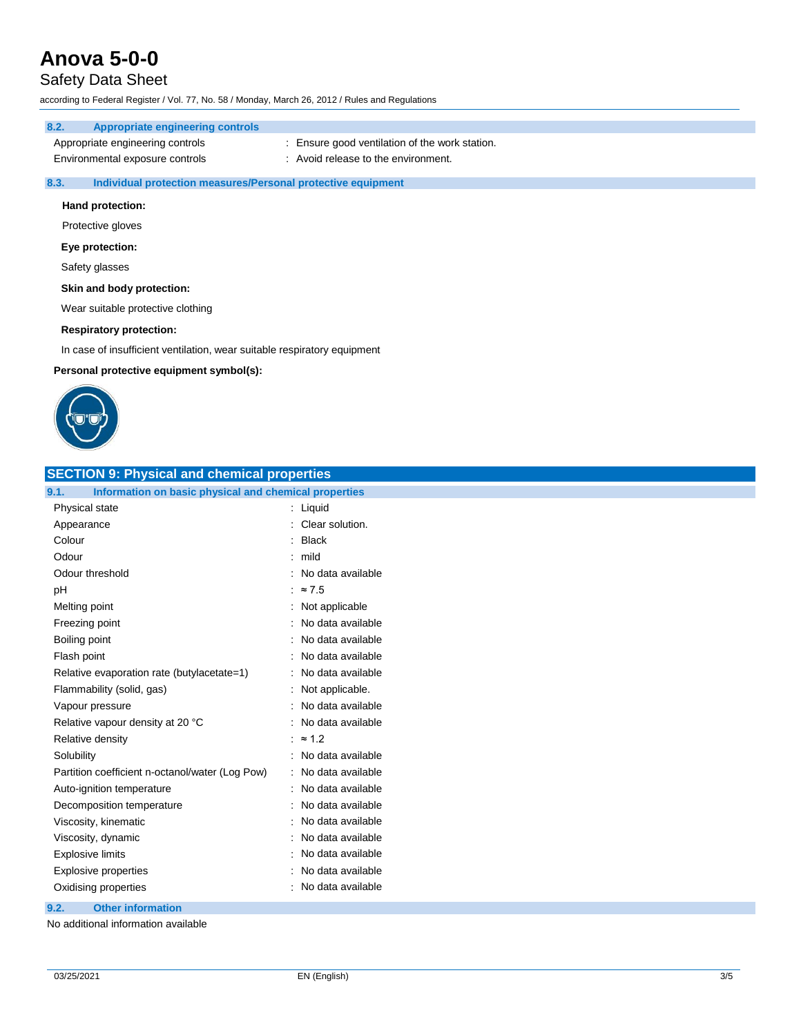# Safety Data Sheet

according to Federal Register / Vol. 77, No. 58 / Monday, March 26, 2012 / Rules and Regulations

# **8.2. Appropriate engineering controls**

| Appropriate engineering controls | : Ensure good ventilation of the work station. |
|----------------------------------|------------------------------------------------|
| Environmental exposure controls  | : Avoid release to the environment.            |

### **8.3. Individual protection measures/Personal protective equipment**

### **Hand protection:**

Protective gloves

### **Eye protection:**

Safety glasses

### **Skin and body protection:**

Wear suitable protective clothing

### **Respiratory protection:**

In case of insufficient ventilation, wear suitable respiratory equipment

### **Personal protective equipment symbol(s):**



| <b>SECTION 9: Physical and chemical properties</b>            |                     |  |
|---------------------------------------------------------------|---------------------|--|
| Information on basic physical and chemical properties<br>9.1. |                     |  |
| Physical state                                                | : Liquid            |  |
| Appearance                                                    | : Clear solution.   |  |
| Colour                                                        | <b>Black</b>        |  |
| Odour                                                         | $:$ mild            |  |
| Odour threshold                                               | : No data available |  |
| pH                                                            | : $\approx 7.5$     |  |
| Melting point                                                 | : Not applicable    |  |
| Freezing point                                                | No data available   |  |
| Boiling point                                                 | : No data available |  |
| Flash point                                                   | : No data available |  |
| Relative evaporation rate (butylacetate=1)                    | : No data available |  |
| Flammability (solid, gas)                                     | : Not applicable.   |  |
| Vapour pressure                                               | : No data available |  |
| Relative vapour density at 20 °C                              | : No data available |  |
| Relative density                                              | : $\approx 1.2$     |  |
| Solubility                                                    | : No data available |  |
| Partition coefficient n-octanol/water (Log Pow)               | : No data available |  |
| Auto-ignition temperature                                     | : No data available |  |
| Decomposition temperature                                     | : No data available |  |
| Viscosity, kinematic                                          | : No data available |  |
| Viscosity, dynamic                                            | No data available   |  |
| <b>Explosive limits</b>                                       | No data available   |  |
| <b>Explosive properties</b>                                   | : No data available |  |
| Oxidising properties                                          | : No data available |  |
| 9.2.<br><b>Other information</b>                              |                     |  |

No additional information available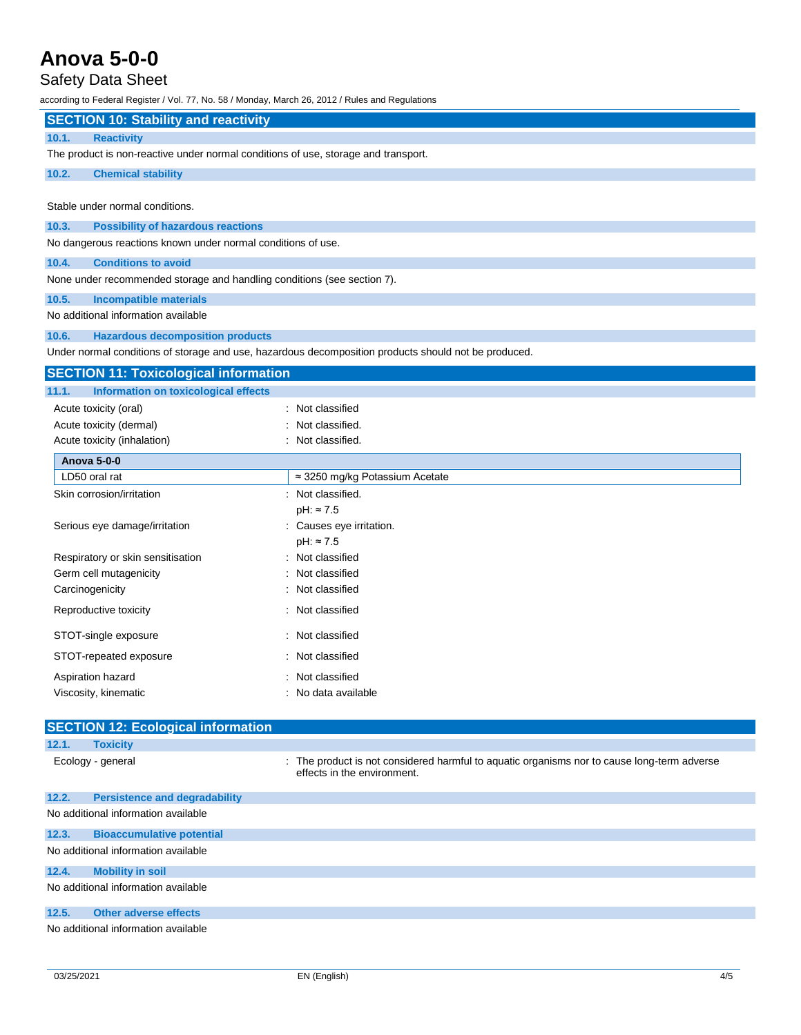# Safety Data Sheet

according to Federal Register / Vol. 77, No. 58 / Monday, March 26, 2012 / Rules and Regulations

| iccording to Federal Register / Vol. 77, NO. 36 / Monday, March 20, 2012 / Rules and Regulations |                                                                                                                          |
|--------------------------------------------------------------------------------------------------|--------------------------------------------------------------------------------------------------------------------------|
| <b>SECTION 10: Stability and reactivity</b>                                                      |                                                                                                                          |
| 10.1.<br><b>Reactivity</b>                                                                       |                                                                                                                          |
| The product is non-reactive under normal conditions of use, storage and transport.               |                                                                                                                          |
| 10.2.<br><b>Chemical stability</b>                                                               |                                                                                                                          |
|                                                                                                  |                                                                                                                          |
| Stable under normal conditions.                                                                  |                                                                                                                          |
| 10.3.<br><b>Possibility of hazardous reactions</b>                                               |                                                                                                                          |
| No dangerous reactions known under normal conditions of use.                                     |                                                                                                                          |
| <b>Conditions to avoid</b><br>10.4.                                                              |                                                                                                                          |
| None under recommended storage and handling conditions (see section 7).                          |                                                                                                                          |
| 10.5.<br><b>Incompatible materials</b>                                                           |                                                                                                                          |
| No additional information available                                                              |                                                                                                                          |
| <b>Hazardous decomposition products</b><br>10.6.                                                 |                                                                                                                          |
|                                                                                                  | Under normal conditions of storage and use, hazardous decomposition products should not be produced.                     |
| <b>SECTION 11: Toxicological information</b>                                                     |                                                                                                                          |
| <b>Information on toxicological effects</b><br>11.1.                                             |                                                                                                                          |
| Acute toxicity (oral)                                                                            | Not classified                                                                                                           |
| Acute toxicity (dermal)                                                                          | Not classified.                                                                                                          |
| Acute toxicity (inhalation)                                                                      | Not classified.                                                                                                          |
| <b>Anova 5-0-0</b>                                                                               |                                                                                                                          |
| LD50 oral rat                                                                                    | ≈ 3250 mg/kg Potassium Acetate                                                                                           |
| Skin corrosion/irritation                                                                        | : Not classified.                                                                                                        |
|                                                                                                  | $pH: \approx 7.5$                                                                                                        |
| Serious eye damage/irritation                                                                    | : Causes eye irritation.                                                                                                 |
| Respiratory or skin sensitisation                                                                | $pH: \approx 7.5$<br>Not classified                                                                                      |
| Germ cell mutagenicity                                                                           | Not classified                                                                                                           |
| Carcinogenicity                                                                                  | Not classified                                                                                                           |
|                                                                                                  | Not classified                                                                                                           |
| Reproductive toxicity                                                                            |                                                                                                                          |
| STOT-single exposure                                                                             | Not classified                                                                                                           |
| STOT-repeated exposure                                                                           | Not classified                                                                                                           |
| Aspiration hazard                                                                                | : Not classified                                                                                                         |
| Viscosity, kinematic                                                                             | : No data available                                                                                                      |
|                                                                                                  |                                                                                                                          |
| <b>SECTION 12: Ecological information</b>                                                        |                                                                                                                          |
| 12.1.<br><b>Toxicity</b>                                                                         |                                                                                                                          |
| Ecology - general                                                                                | The product is not considered harmful to aquatic organisms nor to cause long-term adverse<br>effects in the environment. |
| <b>Persistence and degradability</b><br>12.2.                                                    |                                                                                                                          |
| No additional information available                                                              |                                                                                                                          |

## **12.3. Bioaccumulative potential** No additional information available

**12.4. Mobility in soil**

No additional information available

## **12.5. Other adverse effects**

No additional information available